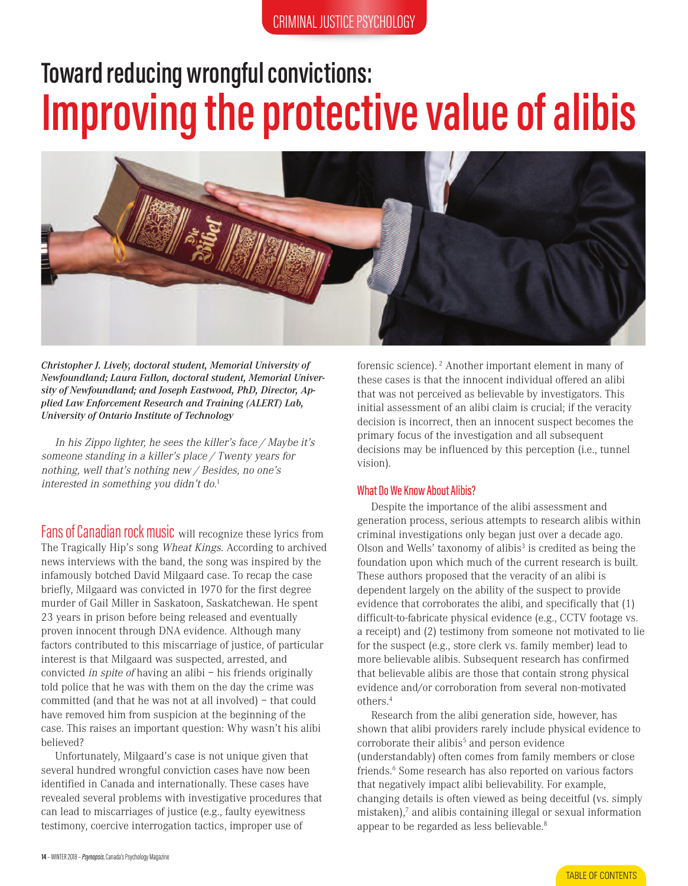## CRIMINAL JUSTICE PSYCHOLOGY

## **Toward reducing wrongful convictions: Improving the protective value of alibis**



*Christopher J. Lively, doctoral student, Memorial University of Newfoundland; Laura Fallon, doctoral student, Memorial University of Newfoundland; and Joseph Eastwood, PhD, Director, Applied Law Enforcement Research and Training (ALERT) Lab, University of Ontario Institute of Technology*

In his Zippo lighter, he sees the killer's face / Maybe it's someone standing in <sup>a</sup> killer's place / Twenty years for nothing, well that's nothing new / Besides, no one's interested in something you didn't do.<sup>1</sup>

Fans of Canadian rock music will recognize these lyrics from The Tragically Hip's song Wheat Kings. According to archived news interviews with the band, the song was inspired by the infamously botched David Milgaard case. To recap the case briefly, Milgaard was convicted in 1970 for the first degree murder of Gail Miller in Saskatoon, Saskatchewan. He spent 23 years in prison before being released and eventually proven innocent through DNA evidence. Although many factors contributed to this miscarriage of justice, of particular interest is that Milgaard was suspected, arrested, and convicted in spite of having an alibi – his friends originally told police that he was with them on the day the crime was committed (and that he was not at all involved) – that could have removed him from suspicion at the beginning of the case. This raises an important question: Why wasn't his alibi believed?

Unfortunately, Milgaard's case is not unique given that several hundred wrongful conviction cases have now been identified in Canada and internationally. These cases have revealed several problems with investigative procedures that can lead to miscarriages of justice (e.g., faulty eyewitness testimony, coercive interrogation tactics, improper use of

forensic science). <sup>2</sup> Another important element in many of these cases is that the innocent individual offered an alibi that was not perceived as believable by investigators. This initial assessment of an alibi claim is crucial; if the veracity decision is incorrect, then an innocent suspect becomes the primary focus of the investigation and all subsequent decisions may be influenced by this perception (i.e., tunnel vision).

## What Do We Know About Alibis?

Despite the importance of the alibi assessment and generation process, serious attempts to research alibis within criminal investigations only began just over a decade ago. Olson and Wells' taxonomy of alibis<sup>3</sup> is credited as being the foundation upon which much of the current research is built. These authors proposed that the veracity of an alibi is dependent largely on the ability of the suspect to provide evidence that corroborates the alibi, and specifically that (1) difficult-to-fabricate physical evidence (e.g., CCTV footage vs. a receipt) and (2) testimony from someone not motivated to lie for the suspect (e.g., store clerk vs. family member) lead to more believable alibis. Subsequent research has confirmed that believable alibis are those that contain strong physical evidence and/or corroboration from several non-motivated others. 4

Research from the alibi generation side, however, has shown that alibi providers rarely include physical evidence to corroborate their alibis<sup>5</sup> and person evidence (understandably) often comes from family members or close friends. <sup>6</sup> Some research has also reported on various factors that negatively impact alibi believability. For example, changing details is often viewed as being deceitful (vs. simply mistaken), <sup>7</sup> and alibis containing illegal or sexual information appear to be regarded as less believable.<sup>8</sup>